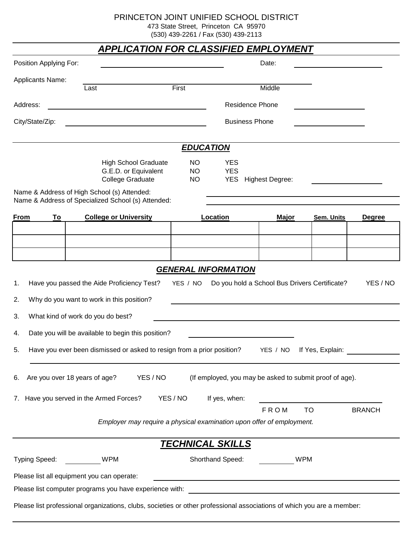PRINCETON JOINT UNIFIED SCHOOL DISTRICT

473 State Street, Princeton CA 95970

(530) 439-2261 / Fax (530) 439-2113

| <b>APPLICATION FOR CLASSIFIED EMPLOYMENT</b>                                                                                                            |                                                                                                                        |                                     |                          |                     |                   |               |  |  |  |
|---------------------------------------------------------------------------------------------------------------------------------------------------------|------------------------------------------------------------------------------------------------------------------------|-------------------------------------|--------------------------|---------------------|-------------------|---------------|--|--|--|
| Position Applying For:                                                                                                                                  |                                                                                                                        |                                     | Date:                    |                     |                   |               |  |  |  |
| Applicants Name:                                                                                                                                        |                                                                                                                        |                                     |                          |                     |                   |               |  |  |  |
|                                                                                                                                                         | Last                                                                                                                   | First                               |                          | Middle              |                   |               |  |  |  |
| Address:                                                                                                                                                |                                                                                                                        |                                     | <b>Residence Phone</b>   |                     |                   |               |  |  |  |
| City/State/Zip:                                                                                                                                         |                                                                                                                        |                                     | <b>Business Phone</b>    |                     |                   |               |  |  |  |
| <b>EDUCATION</b>                                                                                                                                        |                                                                                                                        |                                     |                          |                     |                   |               |  |  |  |
|                                                                                                                                                         | <b>High School Graduate</b><br>G.E.D. or Equivalent<br><b>College Graduate</b>                                         | <b>NO</b><br><b>NO</b><br><b>NO</b> | <b>YES</b><br><b>YES</b> | YES Highest Degree: |                   |               |  |  |  |
|                                                                                                                                                         | Name & Address of High School (s) Attended:<br>Name & Address of Specialized School (s) Attended:                      |                                     |                          |                     |                   |               |  |  |  |
| From<br><u>To</u>                                                                                                                                       | <b>College or University</b>                                                                                           |                                     | Location                 | <b>Major</b>        | <b>Sem. Units</b> | <b>Degree</b> |  |  |  |
|                                                                                                                                                         |                                                                                                                        |                                     |                          |                     |                   |               |  |  |  |
|                                                                                                                                                         |                                                                                                                        |                                     |                          |                     |                   |               |  |  |  |
|                                                                                                                                                         |                                                                                                                        |                                     |                          |                     |                   |               |  |  |  |
| <b>GENERAL INFORMATION</b><br>Do you hold a School Bus Drivers Certificate?<br>YES / NO<br>Have you passed the Aide Proficiency Test?<br>YES / NO<br>1. |                                                                                                                        |                                     |                          |                     |                   |               |  |  |  |
| Why do you want to work in this position?<br>2.                                                                                                         |                                                                                                                        |                                     |                          |                     |                   |               |  |  |  |
| What kind of work do you do best?<br>3.                                                                                                                 |                                                                                                                        |                                     |                          |                     |                   |               |  |  |  |
| Date you will be available to begin this position?<br>4.                                                                                                |                                                                                                                        |                                     |                          |                     |                   |               |  |  |  |
|                                                                                                                                                         |                                                                                                                        |                                     |                          |                     |                   |               |  |  |  |
| Have you ever been dismissed or asked to resign from a prior position?<br>If Yes, Explain:<br>5.<br>YES / NO                                            |                                                                                                                        |                                     |                          |                     |                   |               |  |  |  |
| Are you over 18 years of age?<br>YES / NO<br>(If employed, you may be asked to submit proof of age).<br>6.                                              |                                                                                                                        |                                     |                          |                     |                   |               |  |  |  |
|                                                                                                                                                         | 7. Have you served in the Armed Forces?                                                                                | YES / NO                            | If yes, when:            |                     |                   |               |  |  |  |
|                                                                                                                                                         |                                                                                                                        |                                     |                          | <b>FROM</b>         | <b>TO</b>         | <b>BRANCH</b> |  |  |  |
|                                                                                                                                                         | Employer may require a physical examination upon offer of employment.                                                  |                                     |                          |                     |                   |               |  |  |  |
|                                                                                                                                                         |                                                                                                                        |                                     | <b>TECHNICAL SKILLS</b>  |                     |                   |               |  |  |  |
| Typing Speed:                                                                                                                                           | <b>WPM</b>                                                                                                             |                                     | Shorthand Speed:         | <b>WPM</b>          |                   |               |  |  |  |
|                                                                                                                                                         | Please list all equipment you can operate:                                                                             |                                     |                          |                     |                   |               |  |  |  |
| Please list computer programs you have experience with:                                                                                                 |                                                                                                                        |                                     |                          |                     |                   |               |  |  |  |
|                                                                                                                                                         | Please list professional organizations, clubs, societies or other professional associations of which you are a member: |                                     |                          |                     |                   |               |  |  |  |